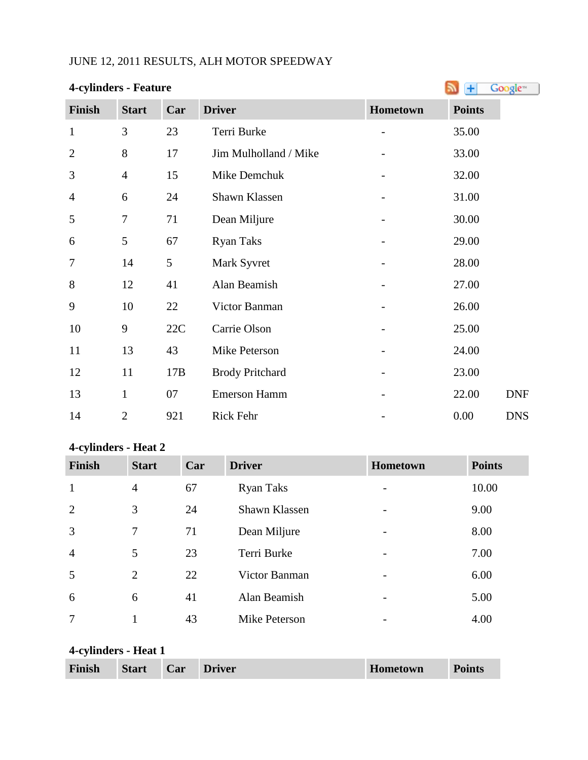# JUNE 12, 2011 RESULTS, ALH MOTOR SPEEDWAY

| <b>4-cylinders - Feature</b> |                | Ŧ   | Google <sup>®</sup>    |                              |               |            |
|------------------------------|----------------|-----|------------------------|------------------------------|---------------|------------|
| <b>Finish</b>                | <b>Start</b>   | Car | <b>Driver</b>          | Hometown                     | <b>Points</b> |            |
| $\mathbf{1}$                 | 3              | 23  | Terri Burke            |                              | 35.00         |            |
| $\overline{2}$               | 8              | 17  | Jim Mulholland / Mike  | -                            | 33.00         |            |
| 3                            | $\overline{4}$ | 15  | Mike Demchuk           |                              | 32.00         |            |
| 4                            | 6              | 24  | Shawn Klassen          |                              | 31.00         |            |
| 5                            | $\overline{7}$ | 71  | Dean Miljure           |                              | 30.00         |            |
| 6                            | 5              | 67  | <b>Ryan Taks</b>       |                              | 29.00         |            |
| 7                            | 14             | 5   | Mark Syvret            |                              | 28.00         |            |
| 8                            | 12             | 41  | Alan Beamish           |                              | 27.00         |            |
| 9                            | 10             | 22  | Victor Banman          |                              | 26.00         |            |
| 10                           | 9              | 22C | Carrie Olson           | $\qquad \qquad \blacksquare$ | 25.00         |            |
| 11                           | 13             | 43  | Mike Peterson          |                              | 24.00         |            |
| 12                           | 11             | 17B | <b>Brody Pritchard</b> |                              | 23.00         |            |
| 13                           | $\mathbf{1}$   | 07  | <b>Emerson Hamm</b>    |                              | 22.00         | <b>DNF</b> |
| 14                           | $\overline{2}$ | 921 | Rick Fehr              |                              | 0.00          | <b>DNS</b> |

#### **4-cylinders - Heat 2**

| <b>Finish</b>  | <b>Start</b> | Car | <b>Driver</b>    | Hometown                 | <b>Points</b> |
|----------------|--------------|-----|------------------|--------------------------|---------------|
| 1              | 4            | 67  | <b>Ryan Taks</b> |                          | 10.00         |
| 2              | 3            | 24  | Shawn Klassen    | $\overline{\phantom{0}}$ | 9.00          |
| $\overline{3}$ | $\tau$       | 71  | Dean Miljure     | $\qquad \qquad$          | 8.00          |
| $\overline{4}$ | 5            | 23  | Terri Burke      |                          | 7.00          |
| 5              | 2            | 22  | Victor Banman    | $\overline{\phantom{0}}$ | 6.00          |
| 6              | 6            | 41  | Alan Beamish     | $\qquad \qquad$          | 5.00          |
| 7              |              | 43  | Mike Peterson    |                          | 4.00          |

# **4-cylinders - Heat 1**

| <b>Start</b><br><b>Finish</b><br>Car | <b>Driver</b> | Hometown | <b>Points</b> |
|--------------------------------------|---------------|----------|---------------|
|--------------------------------------|---------------|----------|---------------|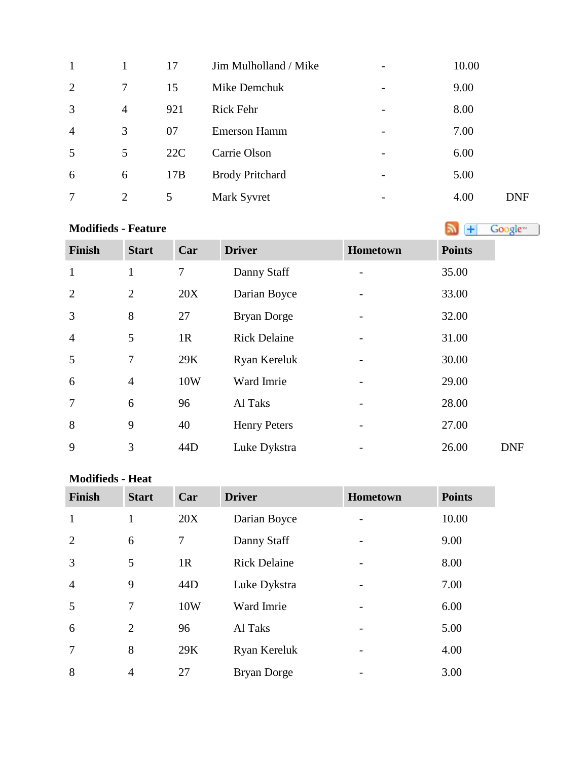| $\mathbf{1}$   |                | 17  | Jim Mulholland / Mike  | $\overline{\phantom{a}}$ | 10.00 |            |
|----------------|----------------|-----|------------------------|--------------------------|-------|------------|
| 2              | $\tau$         | 15  | Mike Demchuk           | -                        | 9.00  |            |
| 3              | $\overline{4}$ | 921 | <b>Rick Fehr</b>       | $\overline{\phantom{a}}$ | 8.00  |            |
| $\overline{4}$ | 3              | 07  | <b>Emerson Hamm</b>    | $\qquad \qquad$          | 7.00  |            |
| 5              | 5              | 22C | Carrie Olson           | $\overline{\phantom{a}}$ | 6.00  |            |
| 6              | 6              | 17B | <b>Brody Pritchard</b> | -                        | 5.00  |            |
| 7              | 2              | 5   | Mark Syvret            | $\qquad \qquad$          | 4.00  | <b>DNF</b> |

# **Modifieds- Feature Modifieds - Feature**

| Finish         | <b>Start</b>   | Car    | <b>Driver</b>       | Hometown | <b>Points</b> |
|----------------|----------------|--------|---------------------|----------|---------------|
| $\mathbf{1}$   | $\mathbf{1}$   | $\tau$ | Danny Staff         |          | 35.00         |
| $\overline{2}$ | $\overline{2}$ | 20X    | Darian Boyce        |          | 33.00         |
| 3              | 8              | 27     | Bryan Dorge         |          | 32.00         |
| $\overline{4}$ | 5              | 1R     | <b>Rick Delaine</b> |          | 31.00         |
| 5              | 7              | 29K    | Ryan Kereluk        |          | 30.00         |
| 6              | $\overline{4}$ | 10W    | Ward Imrie          |          | 29.00         |
| $\overline{7}$ | 6              | 96     | Al Taks             |          | 28.00         |
| 8              | 9              | 40     | <b>Henry Peters</b> |          | 27.00         |
| 9              | 3              | 44D    | Luke Dykstra        |          | 26.00         |

#### **Modifieds - Heat**

| <b>Finish</b>  | <b>Start</b>   | Car | <b>Driver</b>       | Hometown | <b>Points</b> |
|----------------|----------------|-----|---------------------|----------|---------------|
| $\mathbf{1}$   | $\mathbf{1}$   | 20X | Darian Boyce        |          | 10.00         |
| $\overline{2}$ | 6              | 7   | Danny Staff         |          | 9.00          |
| 3              | 5              | 1R  | <b>Rick Delaine</b> |          | 8.00          |
| $\overline{4}$ | 9              | 44D | Luke Dykstra        |          | 7.00          |
| 5              | $\overline{7}$ | 10W | Ward Imrie          |          | 6.00          |
| 6              | 2              | 96  | Al Taks             |          | 5.00          |
| $\overline{7}$ | 8              | 29K | Ryan Kereluk        |          | 4.00          |
| 8              | $\overline{4}$ | 27  | <b>Bryan Dorge</b>  |          | 3.00          |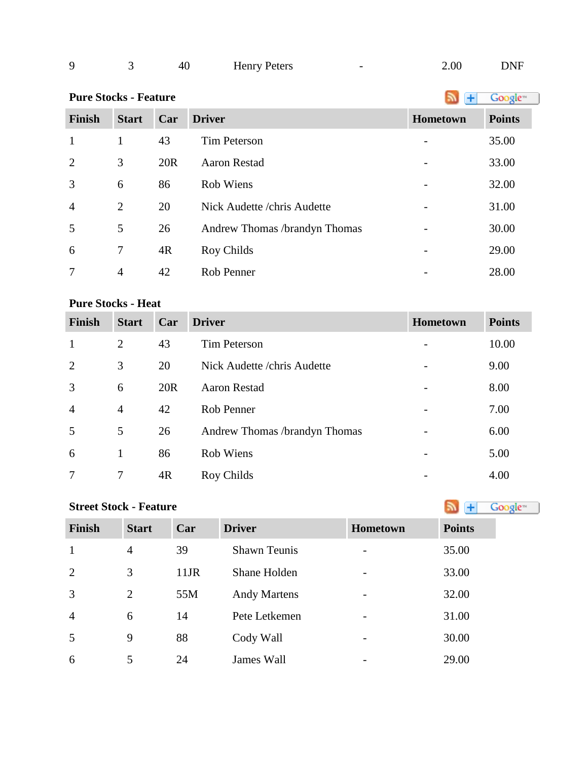| a |  | 40 | <b>Henry Peters</b><br>. |  | 0.00 | DNF |
|---|--|----|--------------------------|--|------|-----|
|---|--|----|--------------------------|--|------|-----|

**PureStocks - Feature Algebra 2019 Constant 1 Constant 1 Constant 1 Constant 1 Constant 1 Constant 1 Constant 1 Constant 1 Constant 1 Constant 1 Constant 1 Constant 1 Constant 1 Constant 1**

| <b>Finish</b>  | <b>Start</b>   | Car | <b>Driver</b>                 | Hometown | <b>Points</b> |
|----------------|----------------|-----|-------------------------------|----------|---------------|
| 1              | 1              | 43  | <b>Tim Peterson</b>           |          | 35.00         |
| 2              | 3              | 20R | <b>Aaron Restad</b>           |          | 33.00         |
| 3              | 6              | 86  | Rob Wiens                     |          | 32.00         |
| $\overline{4}$ | $\overline{2}$ | 20  | Nick Audette / chris Audette  |          | 31.00         |
| 5              | 5              | 26  | Andrew Thomas /brandyn Thomas |          | 30.00         |
| 6              | 7              | 4R  | Roy Childs                    |          | 29.00         |
|                | 4              | 42  | Rob Penner                    |          | 28.00         |

### **Pure Stocks - Heat**

| <b>Finish</b>  | <b>Start</b>   | Car             | <b>Driver</b>                 | <b>Hometown</b> | <b>Points</b> |
|----------------|----------------|-----------------|-------------------------------|-----------------|---------------|
| 1              | $\overline{2}$ | 43              | <b>Tim Peterson</b>           |                 | 10.00         |
| 2              | 3              | 20              | Nick Audette / chris Audette  |                 | 9.00          |
| 3              | 6              | 20 <sub>R</sub> | <b>Aaron Restad</b>           |                 | 8.00          |
| $\overline{4}$ | $\overline{4}$ | 42              | Rob Penner                    |                 | 7.00          |
| 5              | 5              | 26              | Andrew Thomas /brandyn Thomas |                 | 6.00          |
| 6              | 1              | 86              | Rob Wiens                     |                 | 5.00          |
|                | 7              | 4R              | Roy Childs                    |                 | 4.00          |

| <b>Street Stock - Feature</b> | Google <sup>®</sup> |         |                     |                          |               |
|-------------------------------|---------------------|---------|---------------------|--------------------------|---------------|
| <b>Finish</b>                 | <b>Start</b>        | Car     | <b>Driver</b>       | Hometown                 | <b>Points</b> |
| $\mathbf{1}$                  | $\overline{4}$      | 39      | <b>Shawn Teunis</b> |                          | 35.00         |
| 2                             | 3                   | $11$ JR | Shane Holden        | -                        | 33.00         |
| 3                             | 2                   | 55M     | <b>Andy Martens</b> | -                        | 32.00         |
| $\overline{4}$                | 6                   | 14      | Pete Letkemen       |                          | 31.00         |
| 5                             | 9                   | 88      | Cody Wall           |                          | 30.00         |
| 6                             | 5                   | 24      | James Wall          | $\overline{\phantom{0}}$ | 29.00         |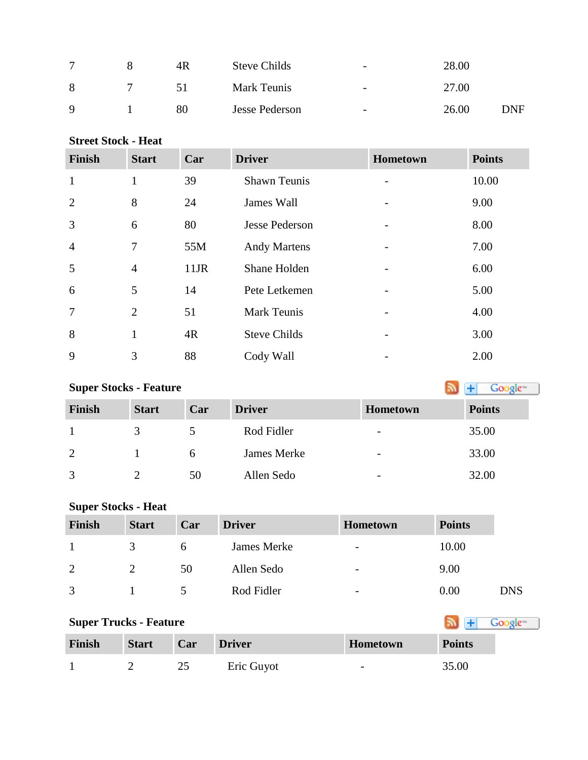|             | 4R | <b>Steve Childs</b> | $\overline{\phantom{a}}$ | 28.00 |     |
|-------------|----|---------------------|--------------------------|-------|-----|
| 8           | 51 | Mark Teunis         | $\overline{\phantom{a}}$ | 27.00 |     |
| $\mathbf Q$ | 80 | Jesse Pederson      | $\overline{\phantom{a}}$ | 26.00 | DNF |

**Street Stock - Heat**

| <b>Finish</b>  | <b>Start</b>   | Car     | <b>Driver</b>         | Hometown        | <b>Points</b> |
|----------------|----------------|---------|-----------------------|-----------------|---------------|
| $\mathbf{1}$   | $\mathbf{1}$   | 39      | <b>Shawn Teunis</b>   |                 | 10.00         |
| 2              | 8              | 24      | James Wall            | $\qquad \qquad$ | 9.00          |
| 3              | 6              | 80      | <b>Jesse Pederson</b> |                 | 8.00          |
| $\overline{4}$ | 7              | 55M     | <b>Andy Martens</b>   |                 | 7.00          |
| 5              | $\overline{4}$ | $11$ JR | Shane Holden          |                 | 6.00          |
| 6              | 5              | 14      | Pete Letkemen         |                 | 5.00          |
| $\overline{7}$ | 2              | 51      | <b>Mark Teunis</b>    |                 | 4.00          |
| 8              | $\mathbf{1}$   | 4R      | <b>Steve Childs</b>   |                 | 3.00          |
| 9              | 3              | 88      | Cody Wall             |                 | 2.00          |

# **SuperStocks - Feature Super Stocks - Feature**

| <b>Finish</b>  | <b>Start</b> | Car | <b>Driver</b> | <b>Hometown</b>          | <b>Points</b> |
|----------------|--------------|-----|---------------|--------------------------|---------------|
|                |              |     | Rod Fidler    | $\overline{\phantom{0}}$ | 35.00         |
| $\overline{2}$ |              | h   | James Merke   | -                        | 33.00         |
| 3              |              | 50  | Allen Sedo    | $\overline{\phantom{0}}$ | 32.00         |

### **Super Stocks - Heat**

| <b>Finish</b> | <b>Start</b>  | Car                  | <b>Driver</b> | <b>Hometown</b>          | <b>Points</b> |            |
|---------------|---------------|----------------------|---------------|--------------------------|---------------|------------|
|               | $\mathcal{R}$ | <sub>0</sub>         | James Merke   | $\overline{\phantom{a}}$ | 10.00         |            |
| 2             |               | 50                   | Allen Sedo    | $\overline{\phantom{a}}$ | 9.00          |            |
| $\mathcal{R}$ |               | $\ddot{\phantom{1}}$ | Rod Fidler    | -                        | 0.00          | <b>DNS</b> |

| <b>Super Trucks - Feature</b> | Google <sup>-1</sup> |     |               |                 |               |
|-------------------------------|----------------------|-----|---------------|-----------------|---------------|
| <b>Finish</b>                 | <b>Start</b>         | Car | <b>Driver</b> | <b>Hometown</b> | <b>Points</b> |
|                               |                      | 25  | Eric Guyot    | -               | 35.00         |